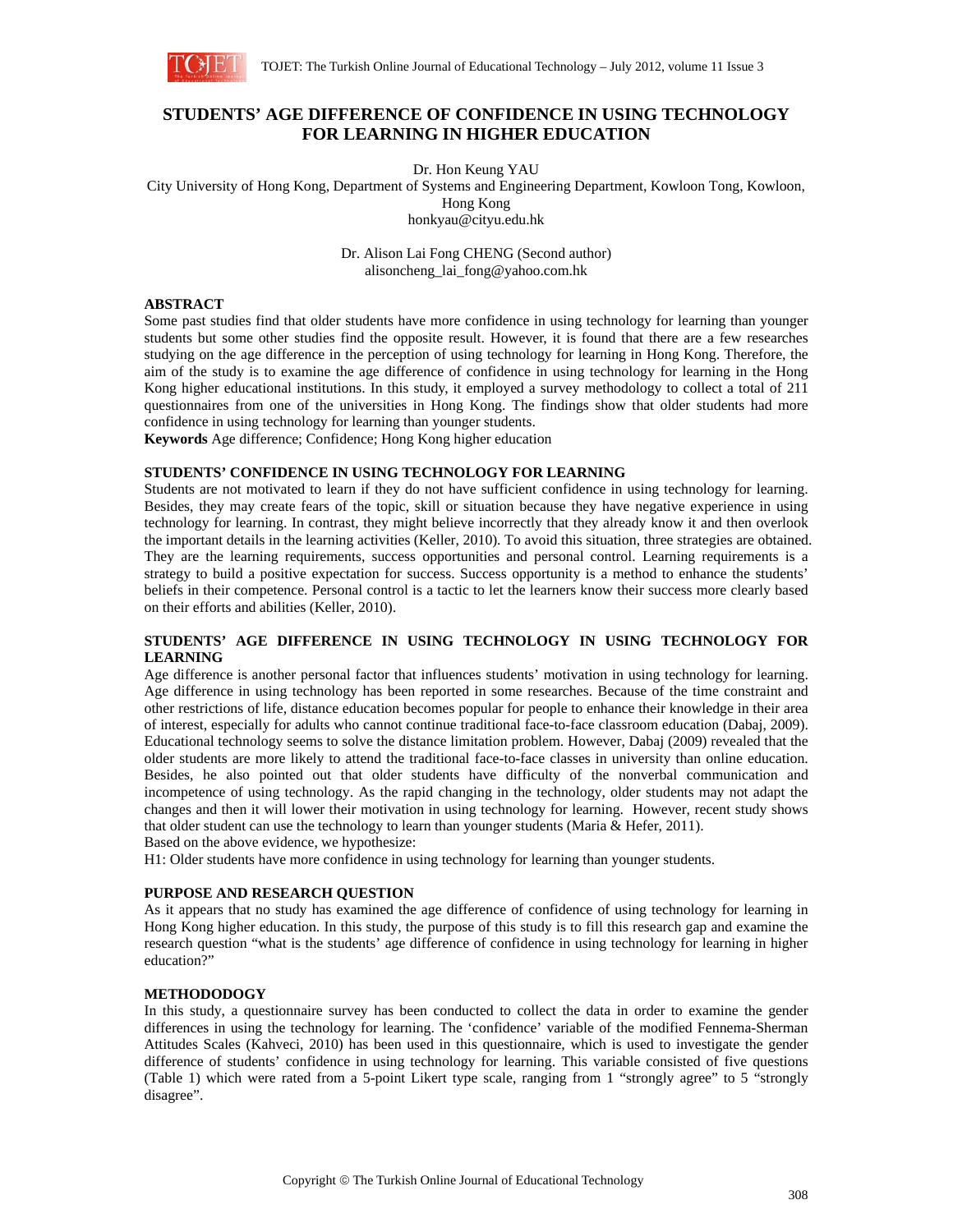

# **STUDENTS' AGE DIFFERENCE OF CONFIDENCE IN USING TECHNOLOGY FOR LEARNING IN HIGHER EDUCATION**

Dr. Hon Keung YAU City University of Hong Kong, Department of Systems and Engineering Department, Kowloon Tong, Kowloon, Hong Kong honkyau@cityu.edu.hk

> Dr. Alison Lai Fong CHENG (Second author) alisoncheng\_lai\_fong@yahoo.com.hk

#### **ABSTRACT**

Some past studies find that older students have more confidence in using technology for learning than younger students but some other studies find the opposite result. However, it is found that there are a few researches studying on the age difference in the perception of using technology for learning in Hong Kong. Therefore, the aim of the study is to examine the age difference of confidence in using technology for learning in the Hong Kong higher educational institutions. In this study, it employed a survey methodology to collect a total of 211 questionnaires from one of the universities in Hong Kong. The findings show that older students had more confidence in using technology for learning than younger students.

**Keywords** Age difference; Confidence; Hong Kong higher education

#### **STUDENTS' CONFIDENCE IN USING TECHNOLOGY FOR LEARNING**

Students are not motivated to learn if they do not have sufficient confidence in using technology for learning. Besides, they may create fears of the topic, skill or situation because they have negative experience in using technology for learning. In contrast, they might believe incorrectly that they already know it and then overlook the important details in the learning activities (Keller, 2010). To avoid this situation, three strategies are obtained. They are the learning requirements, success opportunities and personal control. Learning requirements is a strategy to build a positive expectation for success. Success opportunity is a method to enhance the students' beliefs in their competence. Personal control is a tactic to let the learners know their success more clearly based on their efforts and abilities (Keller, 2010).

#### **STUDENTS' AGE DIFFERENCE IN USING TECHNOLOGY IN USING TECHNOLOGY FOR LEARNING**

Age difference is another personal factor that influences students' motivation in using technology for learning. Age difference in using technology has been reported in some researches. Because of the time constraint and other restrictions of life, distance education becomes popular for people to enhance their knowledge in their area of interest, especially for adults who cannot continue traditional face-to-face classroom education (Dabaj, 2009). Educational technology seems to solve the distance limitation problem. However, Dabaj (2009) revealed that the older students are more likely to attend the traditional face-to-face classes in university than online education. Besides, he also pointed out that older students have difficulty of the nonverbal communication and incompetence of using technology. As the rapid changing in the technology, older students may not adapt the changes and then it will lower their motivation in using technology for learning. However, recent study shows that older student can use the technology to learn than younger students (Maria & Hefer, 2011). Based on the above evidence, we hypothesize:

H1: Older students have more confidence in using technology for learning than younger students.

## **PURPOSE AND RESEARCH QUESTION**

As it appears that no study has examined the age difference of confidence of using technology for learning in Hong Kong higher education. In this study, the purpose of this study is to fill this research gap and examine the research question "what is the students' age difference of confidence in using technology for learning in higher education?"

## **METHODODOGY**

In this study, a questionnaire survey has been conducted to collect the data in order to examine the gender differences in using the technology for learning. The 'confidence' variable of the modified Fennema-Sherman Attitudes Scales (Kahveci, 2010) has been used in this questionnaire, which is used to investigate the gender difference of students' confidence in using technology for learning. This variable consisted of five questions (Table 1) which were rated from a 5-point Likert type scale, ranging from 1 "strongly agree" to 5 "strongly disagree".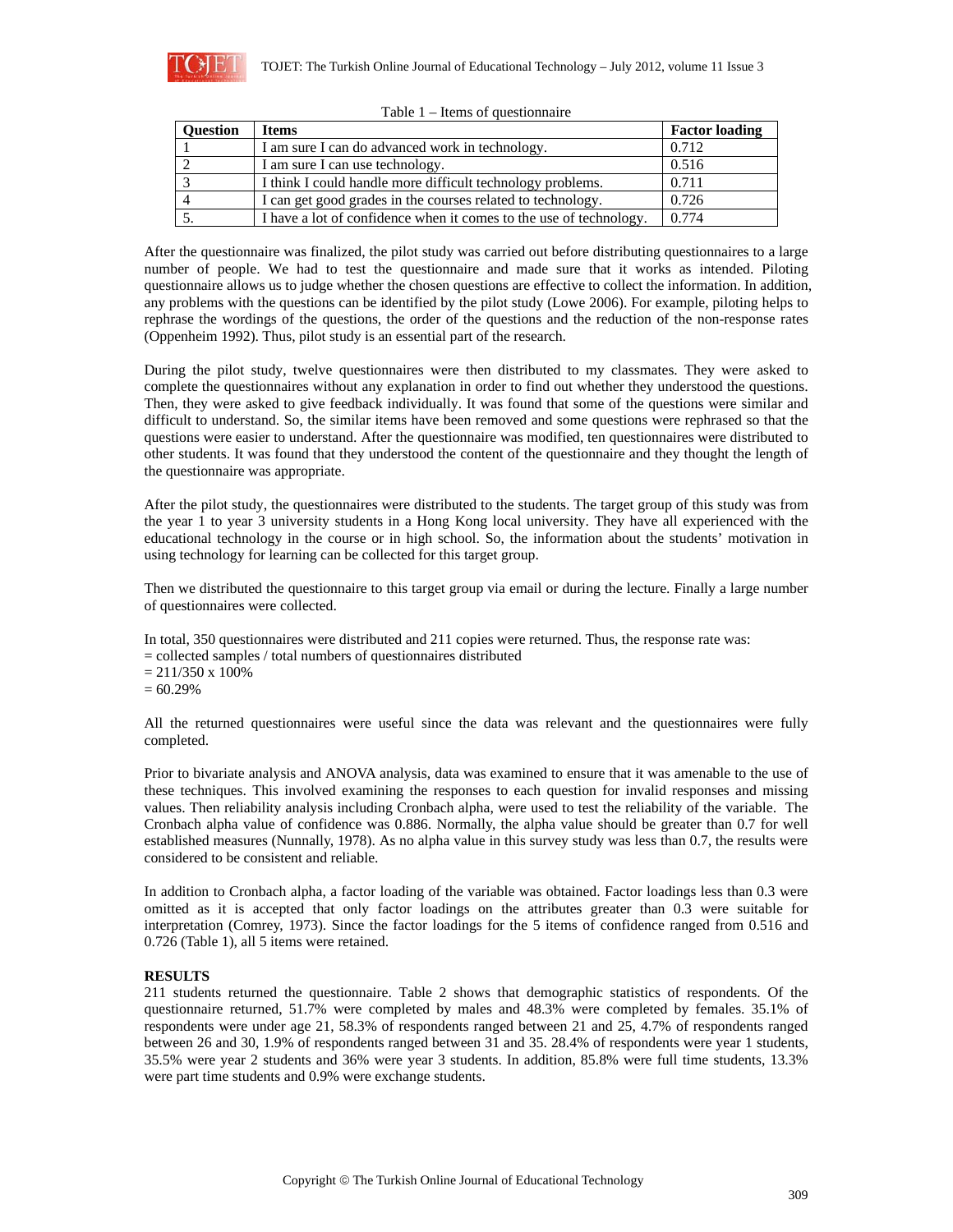

| <b>Ouestion</b> | <b>Items</b>                                                       | <b>Factor loading</b> |
|-----------------|--------------------------------------------------------------------|-----------------------|
|                 | I am sure I can do advanced work in technology.                    | 0.712                 |
|                 | I am sure I can use technology.                                    | 0.516                 |
|                 | I think I could handle more difficult technology problems.         | 0.711                 |
|                 | I can get good grades in the courses related to technology.        | 0.726                 |
|                 | I have a lot of confidence when it comes to the use of technology. | 0.774                 |

|  | Table $1$ – Items of question aire |  |  |
|--|------------------------------------|--|--|
|--|------------------------------------|--|--|

After the questionnaire was finalized, the pilot study was carried out before distributing questionnaires to a large number of people. We had to test the questionnaire and made sure that it works as intended. Piloting questionnaire allows us to judge whether the chosen questions are effective to collect the information. In addition, any problems with the questions can be identified by the pilot study (Lowe 2006). For example, piloting helps to rephrase the wordings of the questions, the order of the questions and the reduction of the non-response rates (Oppenheim 1992). Thus, pilot study is an essential part of the research.

During the pilot study, twelve questionnaires were then distributed to my classmates. They were asked to complete the questionnaires without any explanation in order to find out whether they understood the questions. Then, they were asked to give feedback individually. It was found that some of the questions were similar and difficult to understand. So, the similar items have been removed and some questions were rephrased so that the questions were easier to understand. After the questionnaire was modified, ten questionnaires were distributed to other students. It was found that they understood the content of the questionnaire and they thought the length of the questionnaire was appropriate.

After the pilot study, the questionnaires were distributed to the students. The target group of this study was from the year 1 to year 3 university students in a Hong Kong local university. They have all experienced with the educational technology in the course or in high school. So, the information about the students' motivation in using technology for learning can be collected for this target group.

Then we distributed the questionnaire to this target group via email or during the lecture. Finally a large number of questionnaires were collected.

In total, 350 questionnaires were distributed and 211 copies were returned. Thus, the response rate was: = collected samples / total numbers of questionnaires distributed

 $= 211/350 \times 100\%$ 

 $= 60.29\%$ 

All the returned questionnaires were useful since the data was relevant and the questionnaires were fully completed.

Prior to bivariate analysis and ANOVA analysis, data was examined to ensure that it was amenable to the use of these techniques. This involved examining the responses to each question for invalid responses and missing values. Then reliability analysis including Cronbach alpha, were used to test the reliability of the variable. The Cronbach alpha value of confidence was 0.886. Normally, the alpha value should be greater than 0.7 for well established measures (Nunnally, 1978). As no alpha value in this survey study was less than 0.7, the results were considered to be consistent and reliable.

In addition to Cronbach alpha, a factor loading of the variable was obtained. Factor loadings less than 0.3 were omitted as it is accepted that only factor loadings on the attributes greater than 0.3 were suitable for interpretation (Comrey, 1973). Since the factor loadings for the 5 items of confidence ranged from 0.516 and 0.726 (Table 1), all 5 items were retained.

## **RESULTS**

211 students returned the questionnaire. Table 2 shows that demographic statistics of respondents. Of the questionnaire returned, 51.7% were completed by males and 48.3% were completed by females. 35.1% of respondents were under age 21, 58.3% of respondents ranged between 21 and 25, 4.7% of respondents ranged between 26 and 30, 1.9% of respondents ranged between 31 and 35. 28.4% of respondents were year 1 students, 35.5% were year 2 students and 36% were year 3 students. In addition, 85.8% were full time students, 13.3% were part time students and 0.9% were exchange students.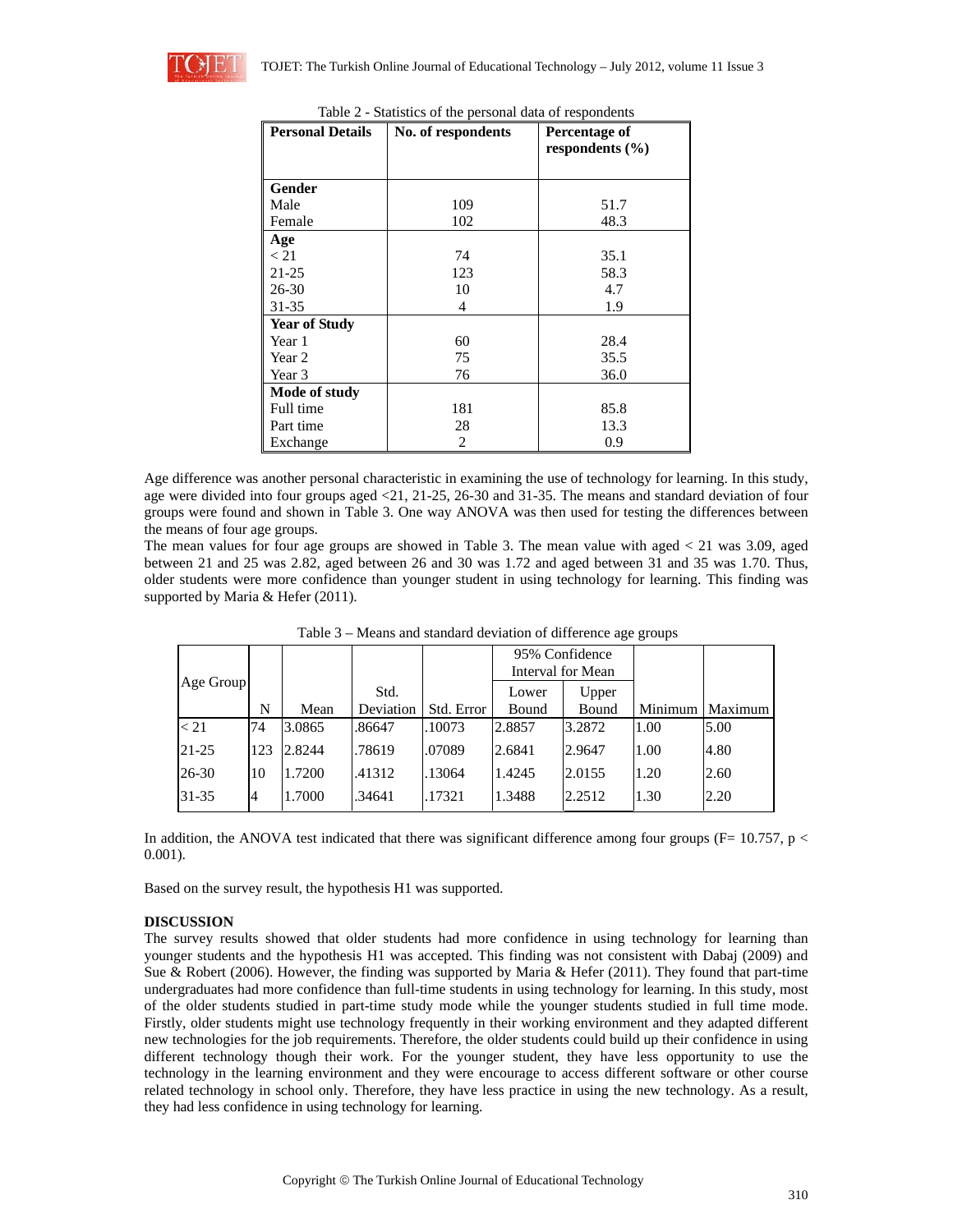| <b>Personal Details</b> | No. of respondents | Percentage of       |  |  |
|-------------------------|--------------------|---------------------|--|--|
|                         |                    | respondents $(\% )$ |  |  |
|                         |                    |                     |  |  |
| Gender                  |                    |                     |  |  |
| Male                    | 109                | 51.7                |  |  |
| Female                  | 102                | 48.3                |  |  |
| Age                     |                    |                     |  |  |
| < 21                    | 74                 | 35.1                |  |  |
| $21 - 25$               | 123                | 58.3                |  |  |
| 26-30                   | 10                 | 4.7                 |  |  |
| 31-35                   | 4                  | 1.9                 |  |  |
| <b>Year of Study</b>    |                    |                     |  |  |
| Year 1                  | 60                 | 28.4                |  |  |
| Year 2                  | 75                 | 35.5                |  |  |
| Year 3                  | 76                 | 36.0                |  |  |
| Mode of study           |                    |                     |  |  |
| Full time               | 181                | 85.8                |  |  |
| Part time               | 28                 | 13.3                |  |  |
| Exchange                | 0.9<br>2           |                     |  |  |

Table 2 - Statistics of the personal data of respondents

Age difference was another personal characteristic in examining the use of technology for learning. In this study, age were divided into four groups aged <21, 21-25, 26-30 and 31-35. The means and standard deviation of four groups were found and shown in Table 3. One way ANOVA was then used for testing the differences between the means of four age groups.

The mean values for four age groups are showed in Table 3. The mean value with aged < 21 was 3.09, aged between 21 and 25 was 2.82, aged between 26 and 30 was 1.72 and aged between 31 and 35 was 1.70. Thus, older students were more confidence than younger student in using technology for learning. This finding was supported by Maria & Hefer (2011).

| Age Group |     |        |                   |            | 95% Confidence<br><b>Interval for Mean</b> |                |         |         |
|-----------|-----|--------|-------------------|------------|--------------------------------------------|----------------|---------|---------|
|           | N   | Mean   | Std.<br>Deviation | Std. Error | Lower<br>Bound                             | Upper<br>Bound | Minimum | Maximum |
| < 21      | 74  | 3.0865 | .86647            | .10073     | 2.8857                                     | 3.2872         | 1.00    | 5.00    |
| $21 - 25$ | 123 | 2.8244 | .78619            | .07089     | 2.6841                                     | 2.9647         | 1.00    | 4.80    |
| 26-30     | 10  | 1.7200 | .41312            | .13064     | 1.4245                                     | 2.0155         | 1.20    | 2.60    |
| 31-35     | 14  | 1.7000 | .34641            | .17321     | 1.3488                                     | 2.2512         | 1.30    | 2.20    |

Table 3 – Means and standard deviation of difference age groups

In addition, the ANOVA test indicated that there was significant difference among four groups ( $F= 10.757$ , p < 0.001).

Based on the survey result, the hypothesis H1 was supported.

## **DISCUSSION**

The survey results showed that older students had more confidence in using technology for learning than younger students and the hypothesis H1 was accepted. This finding was not consistent with Dabaj (2009) and Sue & Robert (2006). However, the finding was supported by Maria & Hefer (2011). They found that part-time undergraduates had more confidence than full-time students in using technology for learning. In this study, most of the older students studied in part-time study mode while the younger students studied in full time mode. Firstly, older students might use technology frequently in their working environment and they adapted different new technologies for the job requirements. Therefore, the older students could build up their confidence in using different technology though their work. For the younger student, they have less opportunity to use the technology in the learning environment and they were encourage to access different software or other course related technology in school only. Therefore, they have less practice in using the new technology. As a result, they had less confidence in using technology for learning.